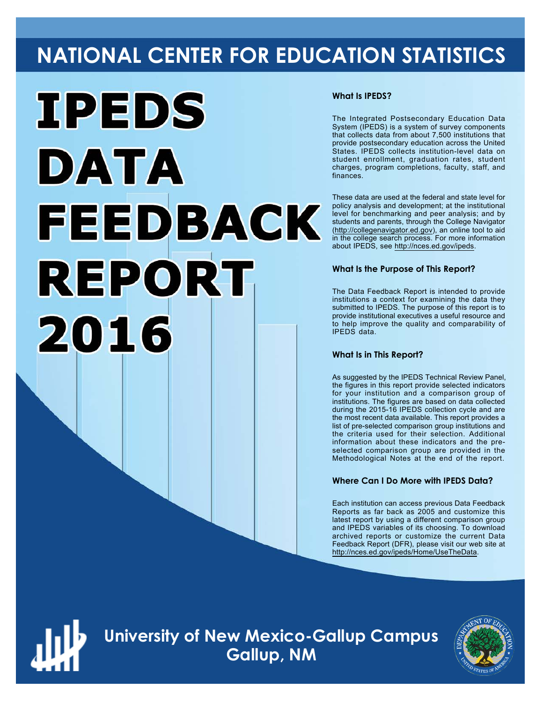# **NATIONAL CENTER FOR EDUCATION STATISTICS**



#### **What Is IPEDS?**

The Integrated Postsecondary Education Data System (IPEDS) is a system of survey components that collects data from about 7,500 institutions that provide postsecondary education across the United States. IPEDS collects institution-level data on student enrollment, graduation rates, student charges, program completions, faculty, staff, and finances.

These data are used at the federal and state level for policy analysis and development; at the institutional level for benchmarking and peer analysis; and by students and parents, through the College Navigator ([http://collegenavigator.ed.gov\)](http://collegenavigator.ed.gov), an online tool to aid in the college search process. For more information about IPEDS, see [http://nces.ed.gov/ipeds.](http://nces.ed.gov/ipeds)

#### **What Is the Purpose of This Report?**

The Data Feedback Report is intended to provide institutions a context for examining the data they submitted to IPEDS. The purpose of this report is to provide institutional executives a useful resource and to help improve the quality and comparability of IPEDS data.

#### **What Is in This Report?**

As suggested by the IPEDS Technical Review Panel, the figures in this report provide selected indicators for your institution and a comparison group of institutions. The figures are based on data collected during the 2015-16 IPEDS collection cycle and are the most recent data available. This report provides a list of pre-selected comparison group institutions and the criteria used for their selection. Additional information about these indicators and the preselected comparison group are provided in the Methodological Notes at the end of the report.

#### **Where Can I Do More with IPEDS Data?**

Each institution can access previous Data Feedback Reports as far back as 2005 and customize this latest report by using a different comparison group and IPEDS variables of its choosing. To download archived reports or customize the current Data Feedback Report (DFR), please visit our web site at [http://nces.ed.gov/ipeds/Home/UseTheData.](http://nces.ed.gov/ipeds/Home/UseTheData)



**University of New Mexico-Gallup Campus Gallup, NM**

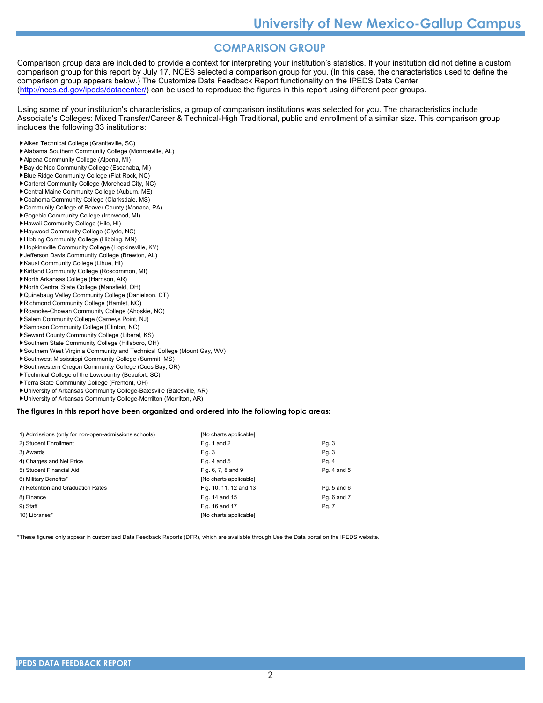#### **COMPARISON GROUP**

Comparison group data are included to provide a context for interpreting your institution's statistics. If your institution did not define a custom comparison group for this report by July 17, NCES selected a comparison group for you. (In this case, the characteristics used to define the comparison group appears below.) The Customize Data Feedback Report functionality on the IPEDS Data Center [\(http://nces.ed.gov/ipeds/datacenter/\)](http://nces.ed.gov/ipeds/datacenter/) can be used to reproduce the figures in this report using different peer groups.

Using some of your institution's characteristics, a group of comparison institutions was selected for you. The characteristics include Associate's Colleges: Mixed Transfer/Career & Technical-High Traditional, public and enrollment of a similar size. This comparison group includes the following 33 institutions:

- Aiken Technical College (Graniteville, SC)
- Alabama Southern Community College (Monroeville, AL)
- Alpena Community College (Alpena, MI)
- Bay de Noc Community College (Escanaba, MI)
- Blue Ridge Community College (Flat Rock, NC)
- Carteret Community College (Morehead City, NC)
- Central Maine Community College (Auburn, ME)
- Coahoma Community College (Clarksdale, MS)
- Community College of Beaver County (Monaca, PA)
- Gogebic Community College (Ironwood, MI)
- Hawaii Community College (Hilo, HI)
- Haywood Community College (Clyde, NC)
- Hibbing Community College (Hibbing, MN) Hopkinsville Community College (Hopkinsville, KY)
- Jefferson Davis Community College (Brewton, AL)
- Kauai Community College (Lihue, HI)
- Kirtland Community College (Roscommon, MI)
- North Arkansas College (Harrison, AR)
- North Central State College (Mansfield, OH)
- Quinebaug Valley Community College (Danielson, CT)
- Richmond Community College (Hamlet, NC)
- Roanoke-Chowan Community College (Ahoskie, NC)
- Salem Community College (Carneys Point, NJ)
- Sampson Community College (Clinton, NC)
- Seward County Community College (Liberal, KS)
- Southern State Community College (Hillsboro, OH)
- Southern West Virginia Community and Technical College (Mount Gay, WV)
- Southwest Mississippi Community College (Summit, MS)
- Southwestern Oregon Community College (Coos Bay, OR)
- Technical College of the Lowcountry (Beaufort, SC)
- Terra State Community College (Fremont, OH)
- University of Arkansas Community College-Batesville (Batesville, AR)
- University of Arkansas Community College-Morrilton (Morrilton, AR)

#### **The figures in this report have been organized and ordered into the following topic areas:**

| 1) Admissions (only for non-open-admissions schools) | [No charts applicable] |             |
|------------------------------------------------------|------------------------|-------------|
| 2) Student Enrollment                                | Fig. 1 and 2           | Pg. 3       |
| 3) Awards                                            | Fig. 3                 | Pg. 3       |
| 4) Charges and Net Price                             | Fig. 4 and $5$         | Pg. 4       |
| 5) Student Financial Aid                             | Fig. 6, 7, 8 and 9     | Pg. 4 and 5 |
| 6) Military Benefits*                                | [No charts applicable] |             |
| 7) Retention and Graduation Rates                    | Fig. 10, 11, 12 and 13 | Pg. 5 and 6 |
| 8) Finance                                           | Fig. 14 and 15         | Pq. 6 and 7 |
| 9) Staff                                             | Fig. 16 and 17         | Pg. 7       |
| 10) Libraries*                                       | [No charts applicable] |             |

\*These figures only appear in customized Data Feedback Reports (DFR), which are available through Use the Data portal on the IPEDS website.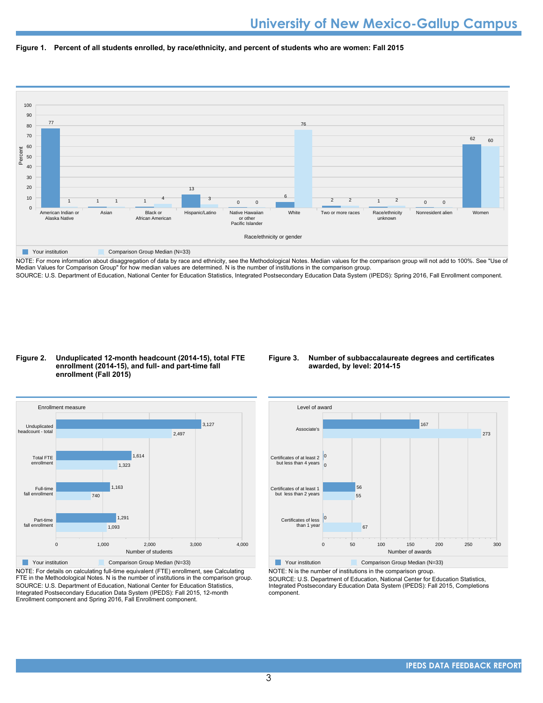



NOTE: For more information about disaggregation of data by race and ethnicity, see the Methodological Notes. Median values for the comparison group will not add to 100%. See "Use of Median Values for Comparison Group" for how median values are determined. N is the number of institutions in the comparison group. SOURCE: U.S. Department of Education, National Center for Education Statistics, Integrated Postsecondary Education Data System (IPEDS): Spring 2016, Fall Enrollment component.

#### **Figure 2. Unduplicated 12-month headcount (2014-15), total FTE enrollment (2014-15), and full- and part-time fall enrollment (Fall 2015)**

#### **Figure 3. Number of subbaccalaureate degrees and certificates awarded, by level: 2014-15**



NOTE: For details on calculating full-time equivalent (FTE) enrollment, see Calculating FTE in the Methodological Notes. N is the number of institutions in the comparison group. SOURCE: U.S. Department of Education, National Center for Education Statistics, Integrated Postsecondary Education Data System (IPEDS): Fall 2015, 12-month Enrollment component and Spring 2016, Fall Enrollment component.



**Your institution** Comparison Group Median (N=33)

NOTE: N is the number of institutions in the comparison group.

SOURCE: U.S. Department of Education, National Center for Education Statistics, Integrated Postsecondary Education Data System (IPEDS): Fall 2015, Completions component.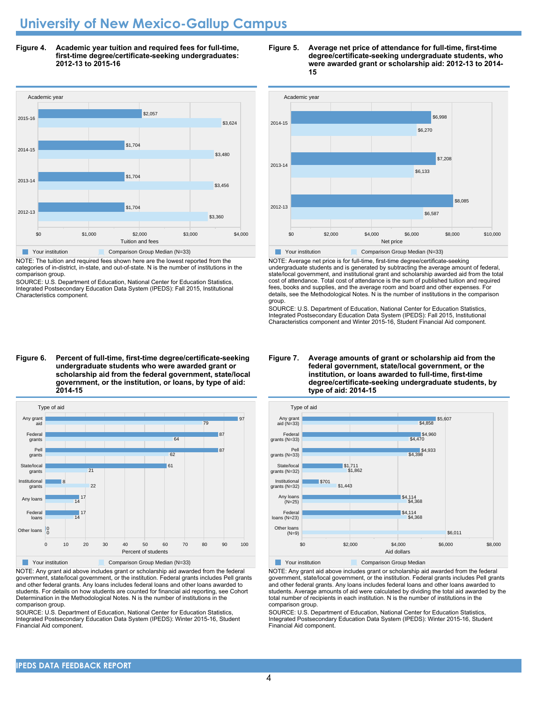## **University of New Mexico-Gallup Campus**

**Figure 4. Academic year tuition and required fees for full-time, first-time degree/certificate-seeking undergraduates: 2012-13 to 2015-16**



NOTE: The tuition and required fees shown here are the lowest reported from the

categories of in-district, in-state, and out-of-state. N is the number of institutions in the comparison group.

SOURCE: U.S. Department of Education, National Center for Education Statistics, Integrated Postsecondary Education Data System (IPEDS): Fall 2015, Institutional Characteristics component.

#### **Figure 6. Percent of full-time, first-time degree/certificate-seeking undergraduate students who were awarded grant or scholarship aid from the federal government, state/local government, or the institution, or loans, by type of aid: 2014-15**



NOTE: Any grant aid above includes grant or scholarship aid awarded from the federal government, state/local government, or the institution. Federal grants includes Pell grants and other federal grants. Any loans includes federal loans and other loans awarded to students. For details on how students are counted for financial aid reporting, see Cohort Determination in the Methodological Notes. N is the number of institutions in the comparison group.

SOURCE: U.S. Department of Education, National Center for Education Statistics, Integrated Postsecondary Education Data System (IPEDS): Winter 2015-16, Student Financial Aid component.





NOTE: Average net price is for full-time, first-time degree/certificate-seeking undergraduate students and is generated by subtracting the average amount of federal, state/local government, and institutional grant and scholarship awarded aid from the total cost of attendance. Total cost of attendance is the sum of published tuition and required fees, books and supplies, and the average room and board and other expenses. For details, see the Methodological Notes. N is the number of institutions in the comparison group.

SOURCE: U.S. Department of Education, National Center for Education Statistics, Integrated Postsecondary Education Data System (IPEDS): Fall 2015, Institutional Characteristics component and Winter 2015-16, Student Financial Aid component.

**Figure 7. Average amounts of grant or scholarship aid from the federal government, state/local government, or the institution, or loans awarded to full-time, first-time**



#### NOTE: Any grant aid above includes grant or scholarship aid awarded from the federal government, state/local government, or the institution. Federal grants includes Pell grants and other federal grants. Any loans includes federal loans and other loans awarded to students. Average amounts of aid were calculated by dividing the total aid awarded by the total number of recipients in each institution. N is the number of institutions in the comparison group.

SOURCE: U.S. Department of Education, National Center for Education Statistics, Integrated Postsecondary Education Data System (IPEDS): Winter 2015-16, Student Financial Aid component.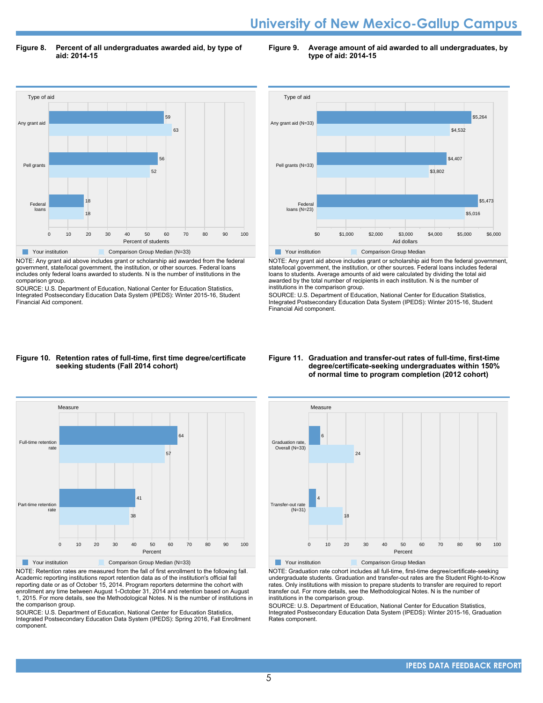### **University of New Mexico-Gallup Campus**

**Figure 8. Percent of all undergraduates awarded aid, by type of aid: 2014-15**

**Figure 9. Average amount of aid awarded to all undergraduates, by type of aid: 2014-15**



NOTE: Any grant aid above includes grant or scholarship aid awarded from the federal government, state/local government, the institution, or other sources. Federal loans includes only federal loans awarded to students. N is the number of institutions in the comparison group.

SOURCE: U.S. Department of Education, National Center for Education Statistics, Integrated Postsecondary Education Data System (IPEDS): Winter 2015-16, Student Financial Aid component.



NOTE: Any grant aid above includes grant or scholarship aid from the federal government, state/local government, the institution, or other sources. Federal loans includes federal loans to students. Average amounts of aid were calculated by dividing the total aid awarded by the total number of recipients in each institution. N is the number of institutions in the comparison group.

SOURCE: U.S. Department of Education, National Center for Education Statistics, Integrated Postsecondary Education Data System (IPEDS): Winter 2015-16, Student Financial Aid component.

#### **Figure 10. Retention rates of full-time, first time degree/certificate seeking students (Fall 2014 cohort)**



NOTE: Retention rates are measured from the fall of first enrollment to the following fall. Academic reporting institutions report retention data as of the institution's official fall reporting date or as of October 15, 2014. Program reporters determine the cohort with enrollment any time between August 1-October 31, 2014 and retention based on August 1, 2015. For more details, see the Methodological Notes. N is the number of institutions in the comparison group.

SOURCE: U.S. Department of Education, National Center for Education Statistics, Integrated Postsecondary Education Data System (IPEDS): Spring 2016, Fall Enrollment component.

#### **Figure 11. Graduation and transfer-out rates of full-time, first-time degree/certificate-seeking undergraduates within 150% of normal time to program completion (2012 cohort)**



NOTE: Graduation rate cohort includes all full-time, first-time degree/certificate-seeking undergraduate students. Graduation and transfer-out rates are the Student Right-to-Know rates. Only institutions with mission to prepare students to transfer are required to report transfer out. For more details, see the Methodological Notes. N is the number of institutions in the comparison group.

SOURCE: U.S. Department of Education, National Center for Education Statistics, Integrated Postsecondary Education Data System (IPEDS): Winter 2015-16, Graduation Rates component.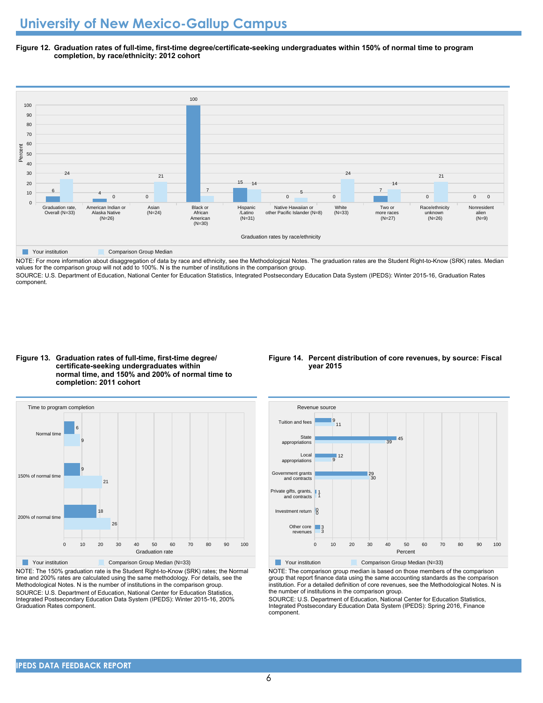**Figure 12. Graduation rates of full-time, first-time degree/certificate-seeking undergraduates within 150% of normal time to program completion, by race/ethnicity: 2012 cohort**



NOTE: For more information about disaggregation of data by race and ethnicity, see the Methodological Notes. The graduation rates are the Student Right-to-Know (SRK) rates. Median values for the comparison group will not add to 100%. N is the number of institutions in the comparison group.

SOURCE: U.S. Department of Education, National Center for Education Statistics, Integrated Postsecondary Education Data System (IPEDS): Winter 2015-16, Graduation Rates component.

**Figure 13. Graduation rates of full-time, first-time degree/ certificate-seeking undergraduates within normal time, and 150% and 200% of normal time to completion: 2011 cohort**



NOTE: The 150% graduation rate is the Student Right-to-Know (SRK) rates; the Normal time and 200% rates are calculated using the same methodology. For details, see the Methodological Notes. N is the number of institutions in the comparison group. SOURCE: U.S. Department of Education, National Center for Education Statistics, Integrated Postsecondary Education Data System (IPEDS): Winter 2015-16, 200% Graduation Rates component.

#### **Figure 14. Percent distribution of core revenues, by source: Fiscal year 2015**



NOTE: The comparison group median is based on those members of the comparison group that report finance data using the same accounting standards as the comparison institution. For a detailed definition of core revenues, see the Methodological Notes. N is the number of institutions in the comparison group.

SOURCE: U.S. Department of Education, National Center for Education Statistics, Integrated Postsecondary Education Data System (IPEDS): Spring 2016, Finance component.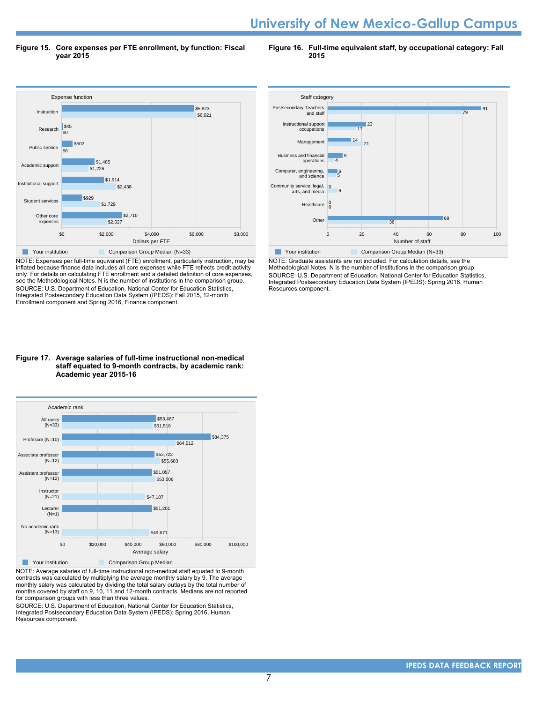### **University of New Mexico-Gallup Campus**

**Figure 15. Core expenses per FTE enrollment, by function: Fiscal year 2015**

**Figure 16. Full-time equivalent staff, by occupational category: Fall 2015**



NOTE: Expenses per full-time equivalent (FTE) enrollment, particularly instruction, may be inflated because finance data includes all core expenses while FTE reflects credit activity only. For details on calculating FTE enrollment and a detailed definition of core expenses, see the Methodological Notes. N is the number of institutions in the comparison group. SOURCE: U.S. Department of Education, National Center for Education Statistics, Integrated Postsecondary Education Data System (IPEDS): Fall 2015, 12-month Enrollment component and Spring 2016, Finance component.



NOTE: Graduate assistants are not included. For calculation details, see the Methodological Notes. N is the number of institutions in the comparison group. SOURCE: U.S. Department of Education, National Center for Education Statistics, Integrated Postsecondary Education Data System (IPEDS): Spring 2016, Human Resources component.

#### **Figure 17. Average salaries of full-time instructional non-medical staff equated to 9-month contracts, by academic rank: Academic year 2015-16**



NOTE: Average salaries of full-time instructional non-medical staff equated to 9-month contracts was calculated by multiplying the average monthly salary by 9. The average monthly salary was calculated by dividing the total salary outlays by the total number of months covered by staff on 9, 10, 11 and 12-month contracts. Medians are not reported for comparison groups with less than three values.

SOURCE: U.S. Department of Education, National Center for Education Statistics, Integrated Postsecondary Education Data System (IPEDS): Spring 2016, Human Resources component.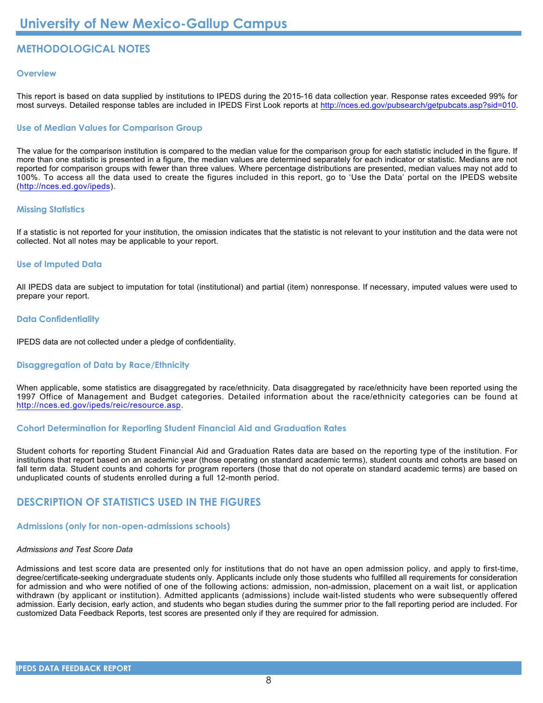### **METHODOLOGICAL NOTES**

#### **Overview**

This report is based on data supplied by institutions to IPEDS during the 2015-16 data collection year. Response rates exceeded 99% for most surveys. Detailed response tables are included in IPEDS First Look reports at [http://nces.ed.gov/pubsearch/getpubcats.asp?sid=010.](http://nces.ed.gov/pubsearch/getpubcats.asp?sid=010)

#### **Use of Median Values for Comparison Group**

The value for the comparison institution is compared to the median value for the comparison group for each statistic included in the figure. If more than one statistic is presented in a figure, the median values are determined separately for each indicator or statistic. Medians are not reported for comparison groups with fewer than three values. Where percentage distributions are presented, median values may not add to 100%. To access all the data used to create the figures included in this report, go to 'Use the Data' portal on the IPEDS website (<http://nces.ed.gov/ipeds>).

#### **Missing Statistics**

If a statistic is not reported for your institution, the omission indicates that the statistic is not relevant to your institution and the data were not collected. Not all notes may be applicable to your report.

#### **Use of Imputed Data**

All IPEDS data are subject to imputation for total (institutional) and partial (item) nonresponse. If necessary, imputed values were used to prepare your report.

#### **Data Confidentiality**

IPEDS data are not collected under a pledge of confidentiality.

#### **Disaggregation of Data by Race/Ethnicity**

When applicable, some statistics are disaggregated by race/ethnicity. Data disaggregated by race/ethnicity have been reported using the 1997 Office of Management and Budget categories. Detailed information about the race/ethnicity categories can be found at <http://nces.ed.gov/ipeds/reic/resource.asp>.

#### **Cohort Determination for Reporting Student Financial Aid and Graduation Rates**

Student cohorts for reporting Student Financial Aid and Graduation Rates data are based on the reporting type of the institution. For institutions that report based on an academic year (those operating on standard academic terms), student counts and cohorts are based on fall term data. Student counts and cohorts for program reporters (those that do not operate on standard academic terms) are based on unduplicated counts of students enrolled during a full 12-month period.

#### **DESCRIPTION OF STATISTICS USED IN THE FIGURES**

#### **Admissions (only for non-open-admissions schools)**

#### *Admissions and Test Score Data*

Admissions and test score data are presented only for institutions that do not have an open admission policy, and apply to first-time, degree/certificate-seeking undergraduate students only. Applicants include only those students who fulfilled all requirements for consideration for admission and who were notified of one of the following actions: admission, non-admission, placement on a wait list, or application withdrawn (by applicant or institution). Admitted applicants (admissions) include wait-listed students who were subsequently offered admission. Early decision, early action, and students who began studies during the summer prior to the fall reporting period are included. For customized Data Feedback Reports, test scores are presented only if they are required for admission.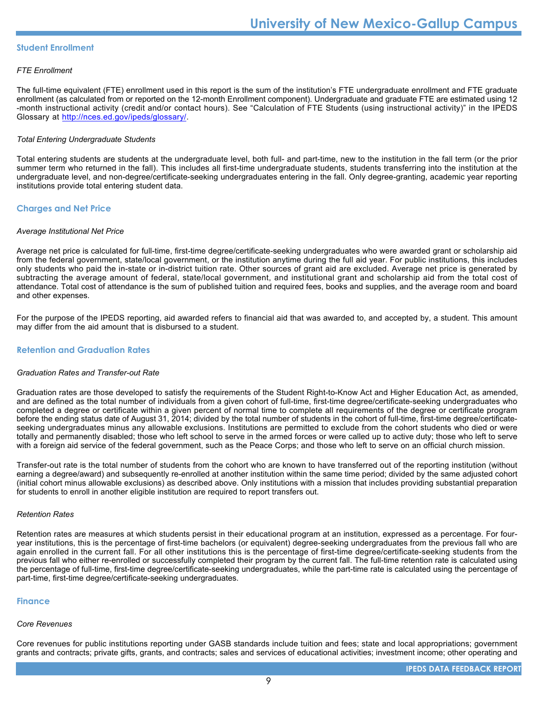#### **Student Enrollment**

#### *FTE Enrollment*

The full-time equivalent (FTE) enrollment used in this report is the sum of the institution's FTE undergraduate enrollment and FTE graduate enrollment (as calculated from or reported on the 12-month Enrollment component). Undergraduate and graduate FTE are estimated using 12 -month instructional activity (credit and/or contact hours). See "Calculation of FTE Students (using instructional activity)" in the IPEDS Glossary at <http://nces.ed.gov/ipeds/glossary/>.

#### *Total Entering Undergraduate Students*

Total entering students are students at the undergraduate level, both full- and part-time, new to the institution in the fall term (or the prior summer term who returned in the fall). This includes all first-time undergraduate students, students transferring into the institution at the undergraduate level, and non-degree/certificate-seeking undergraduates entering in the fall. Only degree-granting, academic year reporting institutions provide total entering student data.

#### **Charges and Net Price**

#### *Average Institutional Net Price*

Average net price is calculated for full-time, first-time degree/certificate-seeking undergraduates who were awarded grant or scholarship aid from the federal government, state/local government, or the institution anytime during the full aid year. For public institutions, this includes only students who paid the in-state or in-district tuition rate. Other sources of grant aid are excluded. Average net price is generated by subtracting the average amount of federal, state/local government, and institutional grant and scholarship aid from the total cost of attendance. Total cost of attendance is the sum of published tuition and required fees, books and supplies, and the average room and board and other expenses.

For the purpose of the IPEDS reporting, aid awarded refers to financial aid that was awarded to, and accepted by, a student. This amount may differ from the aid amount that is disbursed to a student.

#### **Retention and Graduation Rates**

#### *Graduation Rates and Transfer-out Rate*

Graduation rates are those developed to satisfy the requirements of the Student Right-to-Know Act and Higher Education Act, as amended, and are defined as the total number of individuals from a given cohort of full-time, first-time degree/certificate-seeking undergraduates who completed a degree or certificate within a given percent of normal time to complete all requirements of the degree or certificate program before the ending status date of August 31, 2014; divided by the total number of students in the cohort of full-time, first-time degree/certificateseeking undergraduates minus any allowable exclusions. Institutions are permitted to exclude from the cohort students who died or were totally and permanently disabled; those who left school to serve in the armed forces or were called up to active duty; those who left to serve with a foreign aid service of the federal government, such as the Peace Corps; and those who left to serve on an official church mission.

Transfer-out rate is the total number of students from the cohort who are known to have transferred out of the reporting institution (without earning a degree/award) and subsequently re-enrolled at another institution within the same time period; divided by the same adjusted cohort (initial cohort minus allowable exclusions) as described above. Only institutions with a mission that includes providing substantial preparation for students to enroll in another eligible institution are required to report transfers out.

#### *Retention Rates*

Retention rates are measures at which students persist in their educational program at an institution, expressed as a percentage. For fouryear institutions, this is the percentage of first-time bachelors (or equivalent) degree-seeking undergraduates from the previous fall who are again enrolled in the current fall. For all other institutions this is the percentage of first-time degree/certificate-seeking students from the previous fall who either re-enrolled or successfully completed their program by the current fall. The full-time retention rate is calculated using the percentage of full-time, first-time degree/certificate-seeking undergraduates, while the part-time rate is calculated using the percentage of part-time, first-time degree/certificate-seeking undergraduates.

#### **Finance**

#### *Core Revenues*

Core revenues for public institutions reporting under GASB standards include tuition and fees; state and local appropriations; government grants and contracts; private gifts, grants, and contracts; sales and services of educational activities; investment income; other operating and